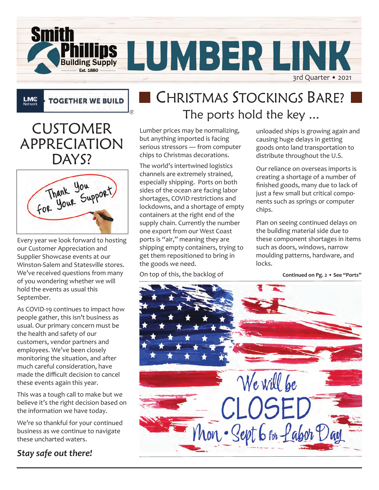

**TOGETHER WE BUILD** 

CUSTOMER APPRECIATION DAYS?

**LMC**<br>Network

| Thank You<br>Your Support<br>COR |  |
|----------------------------------|--|
|                                  |  |

Every year we look forward to hosting our Customer Appreciation and Supplier Showcase events at our Winston-Salem and Statesville stores. We've received questions from many of you wondering whether we will hold the events as usual this September.

these events again this year. As COVID-19 continues to impact how people gather, this isn't business as usual. Our primary concern must be the health and safety of our customers, vendor partners and employees. We've been closely monitoring the situation, and after much careful consideration, have made the difficult decision to cancel

**Winston-Salem Statesville**  $\frac{1}{2}$  as a tought. believe it's the right decision based on **336.722.8167 704.872.9866** the information we have today. This was a tough call to make but we

We're so thankful for your continued business as we continue to navigate these uncharted waters.

#### *Stay safe out there!*

## CHRISTMAS STOCKINGS BARE? The ports hold the key ...

Lumber prices may be normalizing, but anything imported is facing serious stressors — from computer chips to Christmas decorations.

The world's intertwined logistics channels are extremely strained, especially shipping. Ports on both sides of the ocean are facing labor shortages, COVID restrictions and lockdowns, and a shortage of empty containers at the right end of the supply chain. Currently the number one export from our West Coast ports is "air," meaning they are shipping empty containers, trying to get them repositioned to bring in the goods we need.

On top of this, the backlog of

unloaded ships is growing again and causing huge delays in getting goods onto land transportation to distribute throughout the U.S.

Our reliance on overseas imports is creating a shortage of a number of finished goods, many due to lack of just a few small but critical components such as springs or computer chips.

Plan on seeing continued delays on the building material side due to these component shortages in items such as doors, windows, narrow moulding patterns, hardware, and locks.

**Continued on Pg. 2 • See "Ports"**